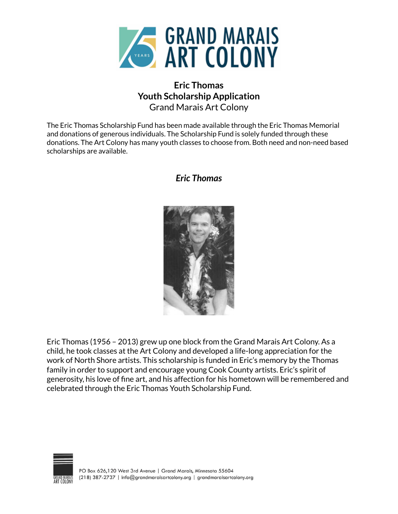

## **Eric Thomas Youth Scholarship Application** Grand Marais Art Colony

The Eric Thomas Scholarship Fund has been made available through the Eric Thomas Memorial and donations of generous individuals. The Scholarship Fund is solely funded through these donations. The Art Colony has many youth classes to choose from. Both need and non-need based scholarships are available.

## *Eric Thomas*



Eric Thomas (1956 – 2013) grew up one block from the Grand Marais Art Colony. As a child, he took classes at the Art Colony and developed a life-long appreciation for the work of North Shore artists. This scholarship is funded in Eric's memory by the Thomas family in order to support and encourage young Cook County artists. Eric's spirit of generosity, his love of fine art, and his affection for his hometown will be remembered and celebrated through the Eric Thomas Youth Scholarship Fund.